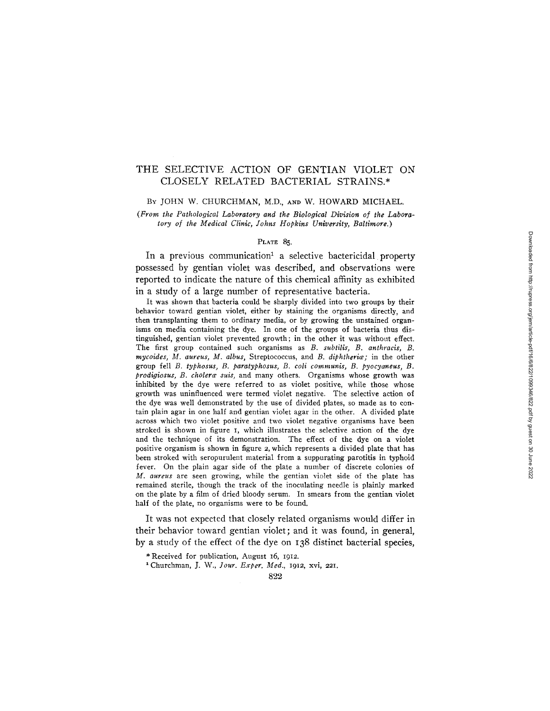# THE SELECTIVE ACTION OF GENTIAN VIOLET ON CLOSELY RELATED BACTERIAL STRAINS.\*

#### BY JOHN W. CHURCHMAN, M.D., AND W. HOWARD MICHAEL.

*(From the Pathological Laboratory and the Biological Division of the Laboratory of the Medical Clinic, Johns Hopkins University, Baltimore.)* 

### PLATE 85.

In a previous communication<sup>1</sup> a selective bactericidal property possessed by gentian violet was described, and observations were reported to indicate the nature of this chemical affinity as exhibited in a study of a large number of representative bacteria.

It was shown that bacteria could be sharply divided into two groups by their behavior toward gentian violet, either by staining the organisms directly, and then transplanting them to ordinary media, or by growing the unstained organisms on media containing the dye. In one of the groups of bacteria thus distinguished, gentian violet prevented growth; in the other it was without effect. The first group contained such organisms as *B. subtills, B. anthracis, B. mycoides, M. aureus, M. albus, Streptococcus, and B. diphtheria; in the other* group fell *B. typhosus, B. paratyphosus, B. coil communis, B. pyocyaneus, B. prodigiosus, B. cholerce suis,* and many others. Organisms whose growth was inhibited by the dye were referred to as violet positive, while those whose growth was uninfluenced were termed violet negative. The selective action of the dye was well demonstrated by the use of divided plates, so made as to contain plain agar in one half and gentian violet agar in the other. A divided plate across which two violet positive and two violet negative organisms have been stroked is shown in figure I, which illustrates the selective action of the dye and the technique of its demonstration. The effect of the dye on a violet positive organism is shown in figure 2, which represents a divided plate that has been stroked with seropurulent material from a suppurating parotitis in typhoid fever. On the plain agar side of the plate a number of discrete colonies of *M. aureus* are seen growing, while the gentian violet side of the plate has remained sterile, though the track of the inoculating needle is plainly marked on the plate by a film of dried bloody serum. In smears from the gentian violet half of the plate, no organisms were to be found.

It was not expected that closely related organisms would differ in their behavior toward gentian violet; and it was found, in general, by a study of the effect of the dye on I38 distinct bacterial species,

\* Received for publication, August 16, i912.

1 Churchman, J. W., *Jour. Exper. Med.,* 1912, xvi, *221.*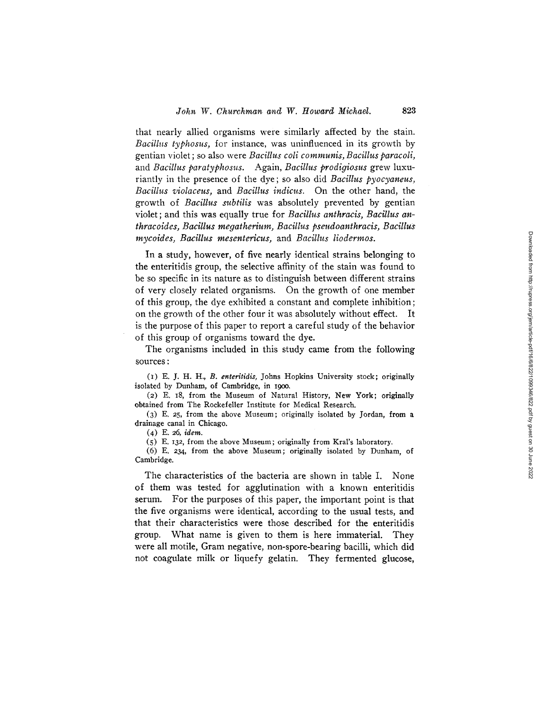that nearly allied organisms were similarly affected by the stain. *Bacillus typhosus,* for instance, was uninfluenced in its growth by gentian violet ; so also were *Bacillus coli communis, Bacillus paracoli,*  and *Bacillus paratyphosus.* Again, *Bacillus prodigiosus* grew luxuriantly in the presence of the dye; so also did *Bacillus pyocyaneus, Bacillus violaceus,* and *Bacillus indicus.* On the other hand, the growth of *Bacillus subtilis* was absolutely prevented by gentian violet; and this was equally true for *Bacillus anthracis, Bacillus anthracoides, Bacillus megatherium, Bacillus pseudoanthracis, Bacillus mycoides, Bacillus mesentericus,* and *Bacillus liodermos.* 

In a study, however, of five nearly identical strains belonging to the enteritidis group, the selective affinity of the stain was found to be so specific in its nature as to distinguish between different strains of very closely related organisms. On the growth of one member of this group, the dye exhibited a constant and complete inhibition; on the growth of the other four it was absolutely without effect. It is the purpose of this paper to report a careful study of the behavior of this group of organisms toward the dye.

The organisms included in this study came from the following sources :

(I) E. J. H. H., *B. enteritldis,* Johns Hopkins University stock; originally isolated by Dunham, of Cambridge, in 19oo.

(2) E. 18, from the Museum of Natural History, New York; originally obtained from The Rockefeller Institute for Medical Research.

(3) E. 25, from the above Museum; originally isolated by Jordan, from a drainage canal in Chicago.

(4) E. 26, *idem.* 

(5) E. 132, from the above Museum; originally from Kral's laboratory.

(6) E. 234, from the above Museum; originally isolated by Dunham, of Cambridge.

The characteristics of the bacteria are shown in table I. None of them was tested for agglutination with a known enteritidis serum. For the purposes of this paper, the important point is that the five organisms were identical, according to the usual tests, and that their characteristics were those described for the enteritidis group. What name is given to them is here immaterial. They were all motile, Gram negative, non-spore-bearing bacilli, which did not coagulate milk or liquefy gelatin. They fermented glucose,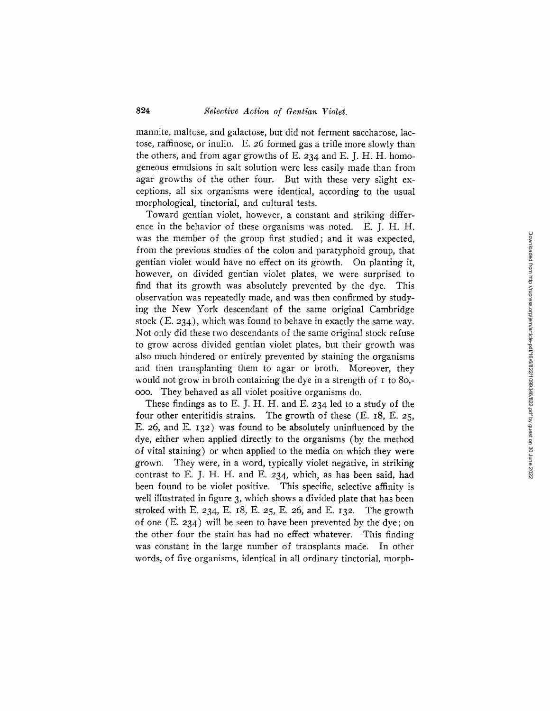mannite, maltose, and galactose, but did not ferment saccharose, lactose, raffinose, or inulin. E. 26 formed gas a trifle more slowly than the others, and from agar growths of E. 234 and E. J. H. H. homogeneous emulsions in salt solution were less easily made than from agar growths of the other four. But with these very slight exceptions, all six organisms were identical, according to the usual morphological, tinctorial, and cultural tests.

Toward gentian violet, however, a constant and striking difference in the behavior of these organisms was noted. E. J. H. H. was the member of the group first studied; and it was expected, from the previous studies of the colon and paratyphoid group, that gentian violet would have no effect on its growth. On planting it, however, on divided gentian violet plates, we were surprised to find that its growth was absolutely prevented by the dye. This observation was repeatedly made, and was then confirmed by studying the New York descendant of the same original Cambridge stock (E. 234), which was found to behave in exactly the same way. Not only did these two descendants of the same original stock refuse to grow across divided gentian violet plates, but their growth was also much hindered or entirely prevented by staining the organisms and then transplanting them to agar or broth. Moreover, they would not grow in broth containing the dye in a strength of I to 80,ooo. They behaved as all violet positive organisms do.

These findings as to E. J. H. H. and E. 234 led to a study of the four other enteritidis strains. The growth of these (E. 18, E. 25, E. 26, and E. I32) was found to be absolutely uninfluenced by the dye, either when applied directly to the organisms (by the method of vital staining) or when applied to the media on which they were grown. They were, in a word, typically violet negative, in striking contrast to E. J. H. H. and E. 234, which, as has been said, had been found to be violet positive. This specific, selective affinity is well illustrated in figure 3, which shows a divided plate that has been stroked with E. 234, E. 18, E. 25, E. 26, and E. 132. The growth of one  $(E. 234)$  will be seen to have been prevented by the dye; on the other four the stain has had no effect whatever. This finding was constant in the large number of transplants made. In other words, of five organisms, identical in all ordinary tinctorial, morph-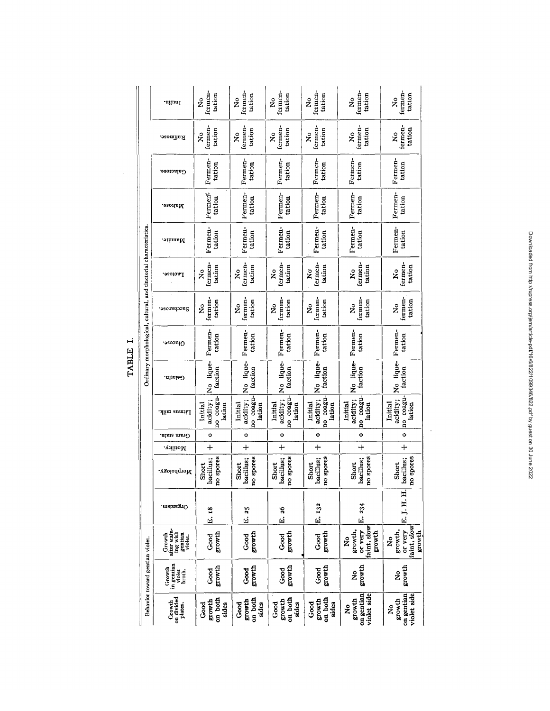|                                                                   | ·uilunl                                                  | fermen-<br>tation<br>ż                     | termen-<br>tation<br>ž                     | fermen-<br>tation<br>$\tilde{\mathbf{z}}$  | fermen-<br>tation<br>ž                     | fermen-<br>tation<br>å                           | fermen-<br>tation<br>ž                           |
|-------------------------------------------------------------------|----------------------------------------------------------|--------------------------------------------|--------------------------------------------|--------------------------------------------|--------------------------------------------|--------------------------------------------------|--------------------------------------------------|
|                                                                   | Raffinose.                                               | fermen<br>tation<br>ż                      | termen-<br>tation<br>ż                     | fermen-<br>tation<br>2                     | fermen-<br>tation<br>ż                     | fermen-<br>tation<br>ž                           | fermen-<br>tation<br>ž                           |
|                                                                   | Galactose.                                               | Fermen-<br>tation                          | Fermen-<br>tation                          | Fermen-<br>tation                          | Fermen-<br>tation                          | Fermen.<br>tation                                | Fermen-<br>tation                                |
|                                                                   | Maltose.                                                 | Fermen-<br>tation                          | Fermen-<br>tation                          | Fermen-<br>tation                          | Fermen-<br>tation                          | Fermen-<br>tation                                | Fermen-<br>tation                                |
|                                                                   | Mannite.                                                 | Fermen-<br>tation                          | Fermen-<br>tation                          | Fermen-<br>tation                          | Fermen-<br>tation                          | Fermen-<br>tation                                | Fermen-<br>tation                                |
| Ordinary morphological, cultural, and tinctorial characteristics. | Lactose.                                                 | fermen-<br>tation<br>ż                     | fermen-<br>tation<br>ż                     | fermen-<br>tation<br>ż                     | fermen-<br>tation<br>ž                     | fermen-<br>tation<br>ż                           | fermen-<br>tation<br>ž                           |
|                                                                   | Saccharose.                                              | fermen-<br>tation<br>ž                     | fermen-<br>tation<br>ż                     | fermen-<br>tation<br>ż                     | fermen-<br>tation<br>ż                     | fermen-<br>tation<br>å                           | fermen-<br>tation<br>å                           |
|                                                                   | ားလေး(-)                                                 | Fermen-<br>tation                          | Fermen-<br>tation                          | Fermen-<br>tation                          | Fermen-<br>tation                          | Fermen-<br>tation                                | Fermen-<br>tation                                |
|                                                                   | Gelatin.                                                 | No lique-<br>faction                       | No lique-<br>faction                       | No lique-<br>faction                       | No lique-<br>faction                       | No lique-<br>faction                             | No lique-<br>faction                             |
|                                                                   | Litmus milk.                                             | no coagu-<br>acidity;<br>lation<br>Initial | no coagu-<br>acidity;<br>Initial<br>lation | no coagu-<br>acidity;<br>lation<br>Initial | no coagu-<br>acidity;<br>Initial<br>lation | no coagu-<br>acidity;<br>Initial<br>lation       | no coagu-<br>acidity;<br>Initial<br>lation       |
|                                                                   | Gram stain.                                              | $\circ$                                    | $\circ$                                    | 0                                          | $\bullet$                                  | ۰                                                | $\circ$                                          |
|                                                                   | Motility.                                                | $\ddot{}$                                  | $\ddot{}$                                  | $\ddag$                                    | ┿                                          | ┿                                                | $+$                                              |
|                                                                   | Morphology.                                              | no spores<br>bacillus;<br>Short            | no spores<br>bacillus;<br>Short            | no spores<br>bacillus;<br>Short            | no spores<br>bacillus;<br>Short            | bacillus;<br>no spores<br>Short                  | no spores<br>bacillus;<br>Short                  |
|                                                                   | .meinsgrO                                                | E. 18                                      | E. 25                                      | E. 26                                      | E. 132                                     | E. 234                                           | E.J.H.H.                                         |
|                                                                   | after stain-<br>ing with<br>gentian<br>violet.<br>Growth | growth<br>Good                             | growth<br>Good                             | growth<br>ರಂದ<br>೧                         | growth<br>Good                             | faint, slow<br>growth,<br>or very<br>growth<br>ż | faint, slow<br>growth,<br>or very<br>growth<br>ž |
| Behavior toward gentian violet.                                   | in gentian<br>Growth<br>violet<br>broth.                 | growth<br>Good                             | growth<br>Good                             | growth<br>Good                             | growth<br>Good                             | growth<br>ż                                      | growth<br>ż                                      |
|                                                                   | on divided<br>Growth<br>plates.                          | on both<br>growth<br>Good<br>sides         | on both<br>growth<br>sides<br>Good         | on both<br>growth<br>sides<br>Good         | on both<br>growth<br>ි<br>ශ<br>sides       | on gentian<br>violet side<br>growth<br>ż         | on gentian<br>violet side<br>growth<br>ż         |

TABLE I.

Downloaded from http://rupress.org/jem/article-pdf/16/6/822/109346/822.pdf by guest on 30 June 2022

 $\ddot{\phantom{0}}$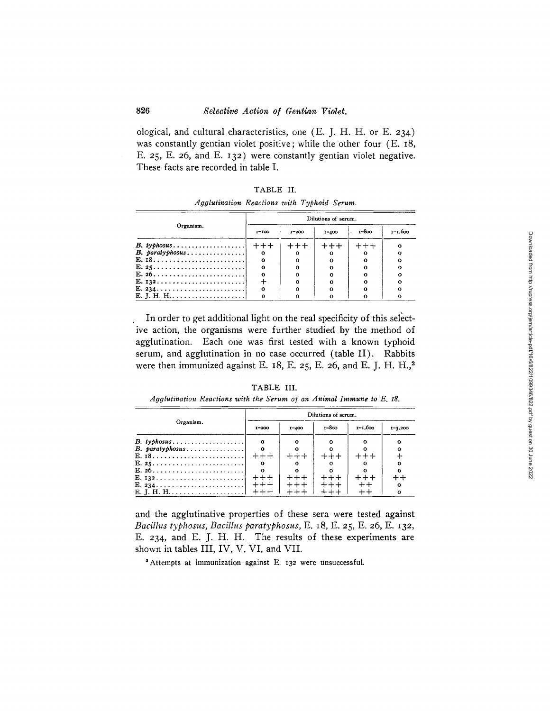ological, and cultural characteristics, one (E. J. H. H. or E. 234 ) was constantly gentian violet positive; while the other four (E. 18, E. 25, E. 26, and E. I32 ) were constantly gentian violet negative. These facts are recorded in table I.

| 'A RU |
|-------|
|-------|

| Agglutination Reactions with Typhoid Serum. |  |  |  |  |
|---------------------------------------------|--|--|--|--|
|---------------------------------------------|--|--|--|--|

|                   | Dilutions of serum. |           |           |       |             |  |  |
|-------------------|---------------------|-----------|-----------|-------|-------------|--|--|
| Organism.         | $I-IOO$             | $I - 200$ | $1 - 400$ | 1-800 | $1 - 1,600$ |  |  |
|                   |                     | $+++$ .   |           |       |             |  |  |
| $B.$ paratyphosus | $\circ$             |           |           |       |             |  |  |
| $E. 18.$          | $\mathbf{o}$        |           |           |       |             |  |  |
| E. 25             | $\Omega$            |           |           |       |             |  |  |
| $E. 26.$          | $\Omega$            |           |           |       |             |  |  |
|                   |                     |           |           |       |             |  |  |
|                   | $\circ$             |           |           |       |             |  |  |
| E. J. H. H        | o                   |           |           |       |             |  |  |

In order to get additional light on the real specificity of this select ive action, the organisms were further studied by the method of agglutination. Each one was first tested with a known typhoid serum, and agglutination in no case occurred (table II). Rabbits were then immunized against E. 18, E. 25, E. 26, and E. J. H. H.,<sup>2</sup>

TABLE III.

| Agglutination Reactions with the Serum of an Animal Immune to E, 18. |  |  |  |  |  |  |  |  |  |
|----------------------------------------------------------------------|--|--|--|--|--|--|--|--|--|
|----------------------------------------------------------------------|--|--|--|--|--|--|--|--|--|

|                   | Dilutions of serum. |           |           |         |             |  |
|-------------------|---------------------|-----------|-----------|---------|-------------|--|
| Organism.         | $I - 200$           | $1 - 400$ | $1 - 800$ | 1-1.600 | $1 - 3,200$ |  |
| $B.$ typhosus     |                     |           |           |         |             |  |
| $B.$ paratyphosus |                     |           |           |         | $\Omega$    |  |
|                   |                     | $++ +$    |           |         |             |  |
| E. 25             | $^{\circ}$          |           |           |         | Ω           |  |
| $E. 26.$          |                     |           |           |         |             |  |
|                   | $++++$              |           | $+ + +$   |         |             |  |
| $E. 234.$         | $+ + +$             |           | $+ + +$   |         | $\circ$     |  |
| <b>E. I. H. H</b> |                     |           |           |         | $\Omega$    |  |

and the agglutinative properties of these sera were tested against *Bacillus typhosus, Bacillus paratyphosus,* E. 18, E. 25, E. 26, E. 132, E. 234, and E. J. H. H. The results of these experiments are shown in tables III, IV, V, VI, and VII.

<sup>2</sup> Attempts at immunization against E. 132 were unsuccessful.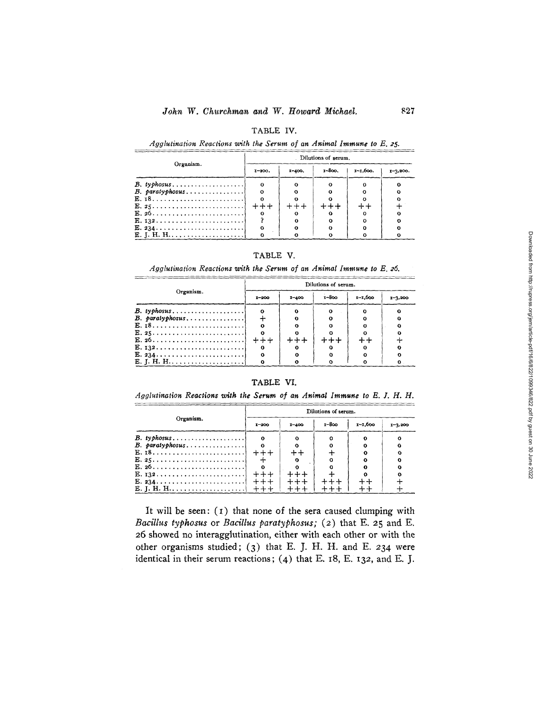### TABLE IV.

Agglutination Reactions with the Serum of an Animal Immune to E. 25.

|                                                            | Dilutions of serum. |          |        |              |              |  |
|------------------------------------------------------------|---------------------|----------|--------|--------------|--------------|--|
| Organism.                                                  | $1 - 200.$          | $I-400.$ | 1-800. | $x - 1.600.$ | $1 - 3,200.$ |  |
| $B.$ typhosus                                              | $\mathbf{o}$        |          |        |              |              |  |
| $B.$ paratyphosus                                          | $\mathbf{o}$        |          |        |              |              |  |
| E. $18$                                                    |                     |          |        |              |              |  |
| $E. 25 \ldots \ldots \ldots \ldots$                        | $+ + +$             |          |        |              |              |  |
| E. 26                                                      |                     |          |        |              |              |  |
| $E. 132 \ldots \ldots \ldots \ldots \ldots$                |                     |          |        |              |              |  |
| $E. 234. \ldots \ldots \ldots \ldots \ldots \ldots \ldots$ | $^{\circ}$          |          |        |              |              |  |
| E. J. H. H                                                 |                     |          |        |              |              |  |

### TABLE V.

Agglutination Reactions with the Serum of an Animal Immune to E. 26.

|                   | Dilutions of serum. |           |            |             |             |  |  |
|-------------------|---------------------|-----------|------------|-------------|-------------|--|--|
| Organism.         | $1 - 200$           | $I - 400$ | $1 - 8$ co | $x - 1,600$ | $1 - 3,200$ |  |  |
| $B.$ typhosus     | $\mathbf{o}$        |           |            |             |             |  |  |
| $B.$ paratyphosus |                     |           |            |             |             |  |  |
|                   |                     |           |            |             |             |  |  |
|                   |                     |           |            |             |             |  |  |
|                   | $+ + +$             |           |            |             |             |  |  |
|                   | $\Omega$            |           |            |             |             |  |  |
|                   | $\Omega$            |           |            |             |             |  |  |
|                   |                     |           |            |             |             |  |  |

## TABLE VI.

Agglutination Reactions with the Serum of an Animal Immune to E. J. H. H.

|                   | Dilutions of serum. |           |            |             |             |  |  |
|-------------------|---------------------|-----------|------------|-------------|-------------|--|--|
| Organism.         | $1 - 200$           | $1 - 400$ | $1 - 8$ oo | $x - 1,600$ | $1 - 3,200$ |  |  |
| $B.$ typhosus     | $\mathbf{o}$        |           | Ω          |             |             |  |  |
| $B.$ paratyphosus | $\Omega$            |           |            |             |             |  |  |
|                   |                     |           |            | ം:          |             |  |  |
| E. 25             |                     |           | Ω          | Ω           |             |  |  |
| $E. 26.$          | $\mathbf{o}$        |           |            | ິ           |             |  |  |
|                   |                     |           |            |             |             |  |  |
|                   |                     |           |            |             |             |  |  |
| E. J. H. H        |                     |           |            |             |             |  |  |

It will be seen:  $(1)$  that none of the sera caused clumping with Bacillus typhosus or Bacillus paratyphosus; (2) that E. 25 and E. 26 showed no interagglutination, either with each other or with the other organisms studied; (3) that E. J. H. H. and E. 234 were identical in their serum reactions; (4) that E. 18, E. 132, and E. J.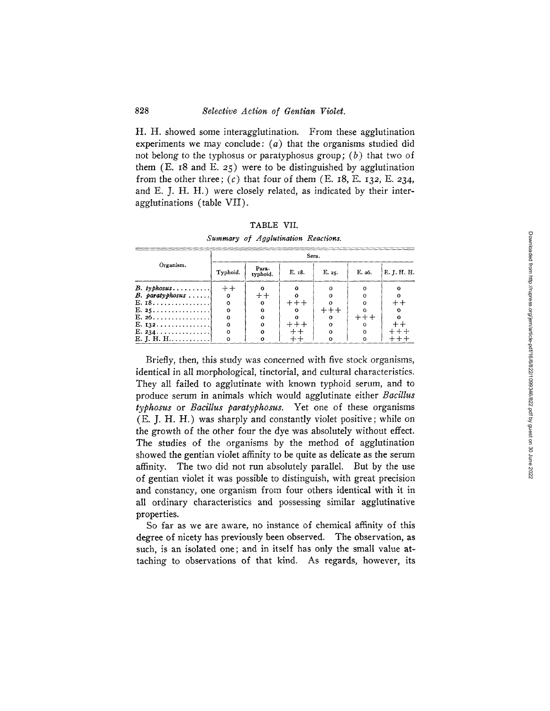**H. H. showed some interagglutination. From these agglutination experiments we may conclude: (a) that the organisms studied did not belong to the typhosus or paratyphosus group; (b) that two of them (E. 18 and E. 25) were to be distinguished by agglutination**  from the other three;  $(c)$  that four of them  $(E. 18, E. 132, E. 234, E. 234)$ **and E. J. H. H.) were closely related, as indicated by their interagglutinations (table VII).** 

|                                       | Sera.    |                   |          |          |        |             |  |  |
|---------------------------------------|----------|-------------------|----------|----------|--------|-------------|--|--|
| Organism.                             | Typhoid. | Para-<br>typhoid. | E. 18.   | E. 25.   | E. 26. | E. J. H. H. |  |  |
| $B.$ typhosus                         | $++$     |                   | $\Omega$ |          |        |             |  |  |
| $B.$ paratyphosus $\dots$             | $\Omega$ | $+ +$             |          |          |        |             |  |  |
| E. I8.                                | $\Omega$ | Ω                 | $++++$   |          |        |             |  |  |
| E. 25.                                | $\Omega$ | Ω                 |          | $++++$   |        |             |  |  |
| E. 26.                                | $\Omega$ | Ω                 |          | Ω        | $+++$  |             |  |  |
| E. 132.                               | $\Omega$ | $\Omega$          |          | $\Omega$ |        |             |  |  |
| $E. 234. \ldots \ldots \ldots \ldots$ | $\Omega$ | o                 |          | Ω        |        |             |  |  |
| E. J. H. H                            |          |                   |          | $\Omega$ |        |             |  |  |

**TABLE VII.**  *Summary of .4gglutination Reactions.* 

**Briefly, then, this study was concerned with five stock organisms, identical in all morphological, tinctorial, and cultural characteristics. They all failed to agglutinate with known typhoid serum, and to produce serum in animals which would agglutinate either** *Bacillus typhosus* **or** *Bacillus paratyphosus.* **Yet one of these organisms (E. J. H. H.) was sharply and constantly violet positive; while on the growth of the other four the dye was absolutely without effect. The studies of the organisms by the method of agglutination showed the gentian violet affinity to be quite as delicate as the serum affinity. The two did not run absolutely parallel. But by the use of gentian violet it was possible to distinguish, with great precision and constancy, one organism from four others identical with it in all ordinary characteristics and possessing similar agglutinative properties.** 

**So far as we are aware, no instance of chemical affinity of this degree of nicety has previously been observed. The observation, as such, is an isolated one; and in itself has only the small value attaching to observations of that kind. As regards, however, its**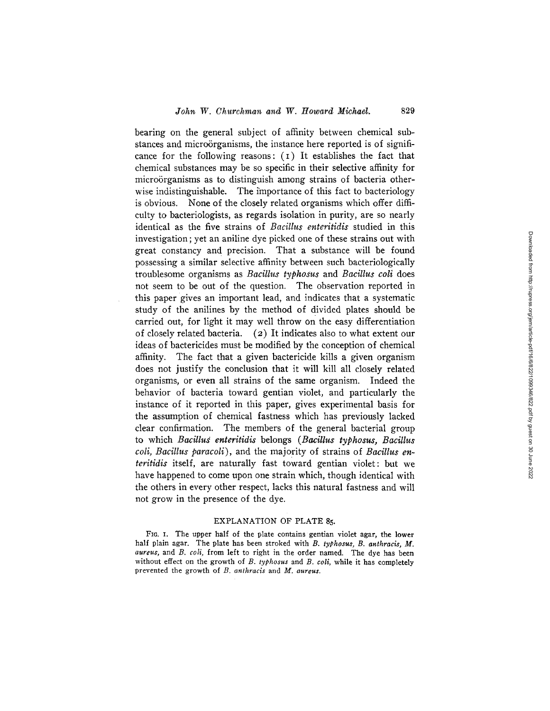bearing on the general subject of affinity between chemical substances and microörganisms, the instance here reported is of significance for the following reasons: (i) It establishes the fact that chemical substances may be so specific in their selective affinity for microörganisms as to distinguish among strains of bacteria otherwise indistinguishable. The importance of this fact to bacteriology is obvious. None of the closely related organisms which offer difficulty to bacteriologists, as regards isolation in purity, are so nearly identical as the five strains of *Bacillus enteritidis* studied in this investigation; yet an aniline dye picked one of these strains out with great constancy and precision. That a substance will be found possessing a similar selective affinity between such bacteriologically troublesome organisms as *Bacillus typhosus* and *Bacillus coli* does not seem to be out of the question. The observation reported in this paper gives an important lead, and indicates that a systematic study of the anilines by the method of divided plates should be carried out, for light it may well throw on the easy differentiation of closely related bacteria. (2) It indicates also to what extent our ideas of bactericides must be modified by the conception of chemical affinity. The fact that a given bactericide kills a given organism does not justify the conclusion that it will kill all closely related organisms, or even all strains of the same organism. Indeed the behavior of bacteria toward gentian violet, and particularly the instance of it reported in this paper, gives experimental basis for the assumption of chemical fastness which has previously lacked clear confirmation. The members of the general bacterial group to which *Bacillus enteritidis* belongs *(Bacillus typhosus, Bacillus coli, Bacillus paracoli),* and the majority of strains of *Bacillus enteritidis* itself, are naturally fast toward gentian violet: but we have happened to come upon one strain which, though identical with the others in every other respect, lacks this natural fastness and will not grow in the presence of the dye.

#### EXPLANATION OF PLATE 85.

FIG. I. The upper half of the plate contains gentian violet agar, the lower half plain agar. The plate has been stroked with *B. typhosus, B. anthracis, M. aureus,* and *B. coil,* from left to right in the order named. The dye has been without effect on the growth of *B. typhosus* and *B. coli,* while it has completely prevented the growth of *B. anthracis* and *M. aureus.*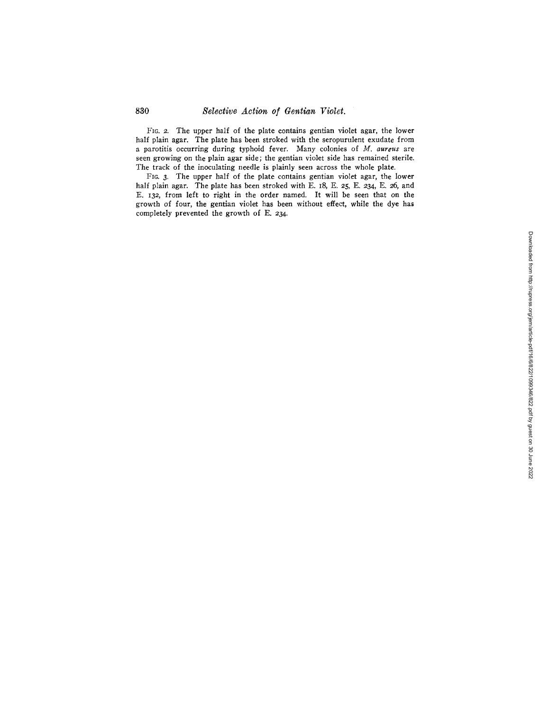# 830 *Selective Action of Gentian Violet.*

FIG. 2. The upper half of the plate contains gentian violet agar, the lower half plain agar. The plate has been stroked with the seropurulent exudate from a parotitis occurring during typhoid fever. Many colonies of *M. aureus* are seen growing on the plain agar side; the gentian violet side has remained sterile. The track of the inoculating needle is plainly seen across the whole plate.

FIG. 3. The upper half of the plate contains gentian violet agar, the lower half plain agar. The plate has been stroked with E. 18, E. 25, E. 234, E. 26, and E. I32, from left to right in the order named. It will be seen that on the growth of four, the gentian violet has been without effect, while the dye has completely prevented the growth of E. 234.